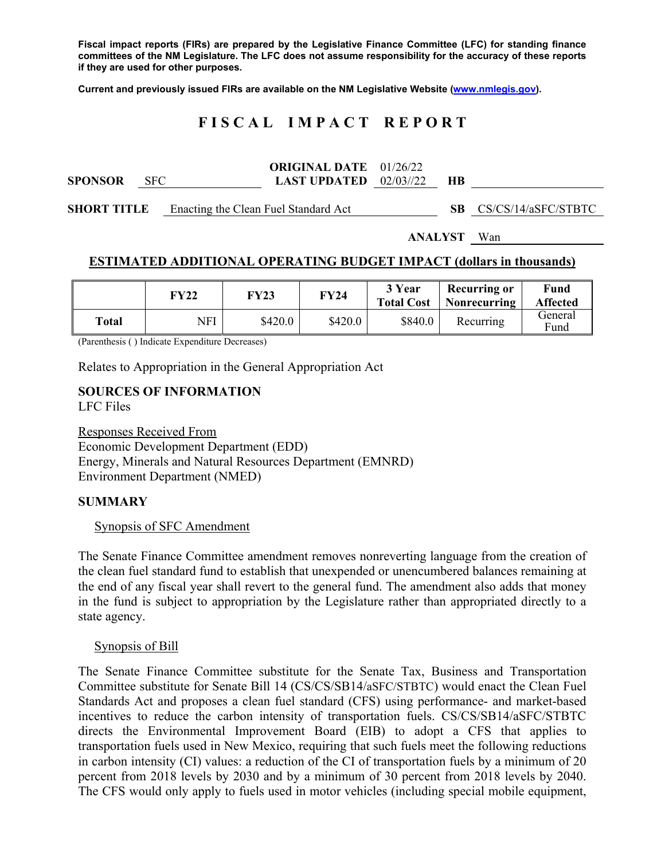**Fiscal impact reports (FIRs) are prepared by the Legislative Finance Committee (LFC) for standing finance committees of the NM Legislature. The LFC does not assume responsibility for the accuracy of these reports if they are used for other purposes.** 

**Current and previously issued FIRs are available on the NM Legislative Website (www.nmlegis.gov).** 

# **F I S C A L I M P A C T R E P O R T**

| <b>SPONSOR</b>     | <b>SFC</b> |                                      | <b>ORIGINAL DATE</b> 01/26/22<br><b>LAST UPDATED</b> $02/03/22$ |  | НB |                        |
|--------------------|------------|--------------------------------------|-----------------------------------------------------------------|--|----|------------------------|
| <b>SHORT TITLE</b> |            | Enacting the Clean Fuel Standard Act |                                                                 |  |    | SB CS/CS/14/aSFC/STBTC |

**ANALYST** Wan

### **ESTIMATED ADDITIONAL OPERATING BUDGET IMPACT (dollars in thousands)**

|       | FY22 | FY23    | FY24    | 3 Year<br><b>Total Cost</b> | <b>Recurring or</b><br>Nonrecurring | <b>Fund</b><br><b>Affected</b> |
|-------|------|---------|---------|-----------------------------|-------------------------------------|--------------------------------|
| Total | NFI  | \$420.0 | \$420.0 | \$840.0                     | Recurring                           | General<br>Fund                |

(Parenthesis ( ) Indicate Expenditure Decreases)

Relates to Appropriation in the General Appropriation Act

# **SOURCES OF INFORMATION**

LFC Files

Responses Received From Economic Development Department (EDD) Energy, Minerals and Natural Resources Department (EMNRD) Environment Department (NMED)

#### **SUMMARY**

#### Synopsis of SFC Amendment

The Senate Finance Committee amendment removes nonreverting language from the creation of the clean fuel standard fund to establish that unexpended or unencumbered balances remaining at the end of any fiscal year shall revert to the general fund. The amendment also adds that money in the fund is subject to appropriation by the Legislature rather than appropriated directly to a state agency.

#### Synopsis of Bill

The Senate Finance Committee substitute for the Senate Tax, Business and Transportation Committee substitute for Senate Bill 14 (CS/CS/SB14/aSFC/STBTC) would enact the Clean Fuel Standards Act and proposes a clean fuel standard (CFS) using performance- and market-based incentives to reduce the carbon intensity of transportation fuels. CS/CS/SB14/aSFC/STBTC directs the Environmental Improvement Board (EIB) to adopt a CFS that applies to transportation fuels used in New Mexico, requiring that such fuels meet the following reductions in carbon intensity (CI) values: a reduction of the CI of transportation fuels by a minimum of 20 percent from 2018 levels by 2030 and by a minimum of 30 percent from 2018 levels by 2040. The CFS would only apply to fuels used in motor vehicles (including special mobile equipment,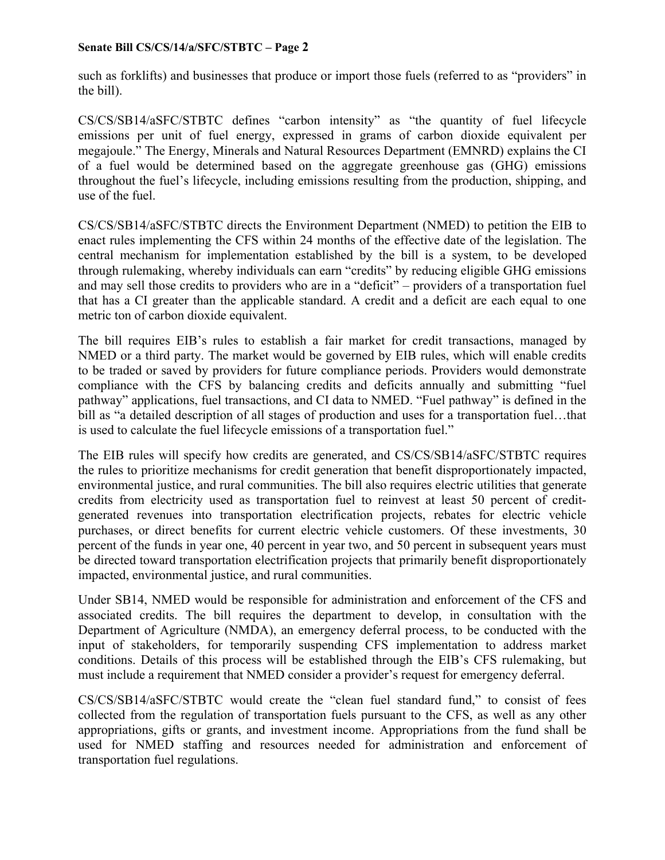such as forklifts) and businesses that produce or import those fuels (referred to as "providers" in the bill).

CS/CS/SB14/aSFC/STBTC defines "carbon intensity" as "the quantity of fuel lifecycle emissions per unit of fuel energy, expressed in grams of carbon dioxide equivalent per megajoule." The Energy, Minerals and Natural Resources Department (EMNRD) explains the CI of a fuel would be determined based on the aggregate greenhouse gas (GHG) emissions throughout the fuel's lifecycle, including emissions resulting from the production, shipping, and use of the fuel.

CS/CS/SB14/aSFC/STBTC directs the Environment Department (NMED) to petition the EIB to enact rules implementing the CFS within 24 months of the effective date of the legislation. The central mechanism for implementation established by the bill is a system, to be developed through rulemaking, whereby individuals can earn "credits" by reducing eligible GHG emissions and may sell those credits to providers who are in a "deficit" – providers of a transportation fuel that has a CI greater than the applicable standard. A credit and a deficit are each equal to one metric ton of carbon dioxide equivalent.

The bill requires EIB's rules to establish a fair market for credit transactions, managed by NMED or a third party. The market would be governed by EIB rules, which will enable credits to be traded or saved by providers for future compliance periods. Providers would demonstrate compliance with the CFS by balancing credits and deficits annually and submitting "fuel pathway" applications, fuel transactions, and CI data to NMED. "Fuel pathway" is defined in the bill as "a detailed description of all stages of production and uses for a transportation fuel...that is used to calculate the fuel lifecycle emissions of a transportation fuel."

The EIB rules will specify how credits are generated, and CS/CS/SB14/aSFC/STBTC requires the rules to prioritize mechanisms for credit generation that benefit disproportionately impacted, environmental justice, and rural communities. The bill also requires electric utilities that generate credits from electricity used as transportation fuel to reinvest at least 50 percent of creditgenerated revenues into transportation electrification projects, rebates for electric vehicle purchases, or direct benefits for current electric vehicle customers. Of these investments, 30 percent of the funds in year one, 40 percent in year two, and 50 percent in subsequent years must be directed toward transportation electrification projects that primarily benefit disproportionately impacted, environmental justice, and rural communities.

Under SB14, NMED would be responsible for administration and enforcement of the CFS and associated credits. The bill requires the department to develop, in consultation with the Department of Agriculture (NMDA), an emergency deferral process, to be conducted with the input of stakeholders, for temporarily suspending CFS implementation to address market conditions. Details of this process will be established through the EIB's CFS rulemaking, but must include a requirement that NMED consider a provider's request for emergency deferral.

CS/CS/SB14/aSFC/STBTC would create the "clean fuel standard fund," to consist of fees collected from the regulation of transportation fuels pursuant to the CFS, as well as any other appropriations, gifts or grants, and investment income. Appropriations from the fund shall be used for NMED staffing and resources needed for administration and enforcement of transportation fuel regulations.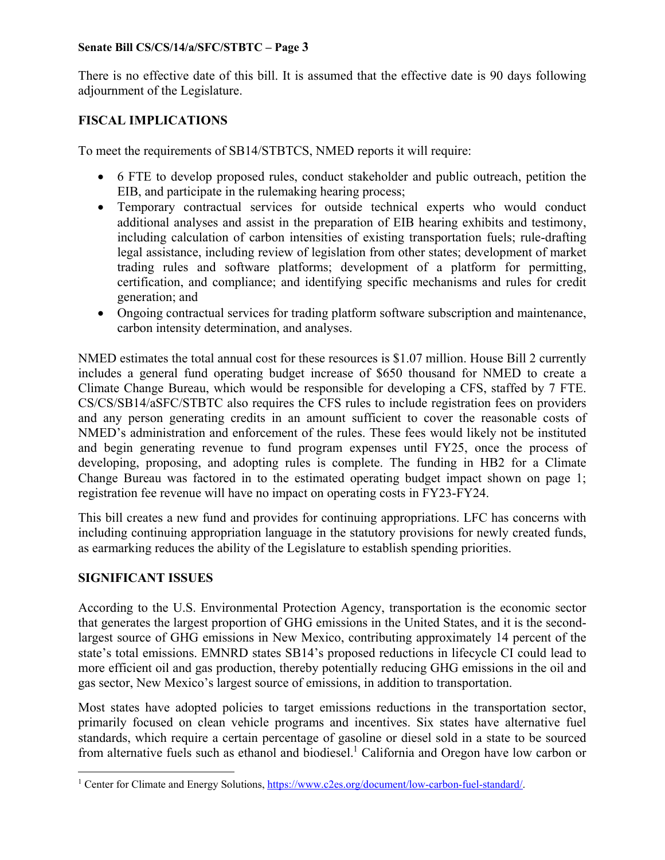There is no effective date of this bill. It is assumed that the effective date is 90 days following adjournment of the Legislature.

# **FISCAL IMPLICATIONS**

To meet the requirements of SB14/STBTCS, NMED reports it will require:

- 6 FTE to develop proposed rules, conduct stakeholder and public outreach, petition the EIB, and participate in the rulemaking hearing process;
- Temporary contractual services for outside technical experts who would conduct additional analyses and assist in the preparation of EIB hearing exhibits and testimony, including calculation of carbon intensities of existing transportation fuels; rule-drafting legal assistance, including review of legislation from other states; development of market trading rules and software platforms; development of a platform for permitting, certification, and compliance; and identifying specific mechanisms and rules for credit generation; and
- Ongoing contractual services for trading platform software subscription and maintenance, carbon intensity determination, and analyses.

NMED estimates the total annual cost for these resources is \$1.07 million. House Bill 2 currently includes a general fund operating budget increase of \$650 thousand for NMED to create a Climate Change Bureau, which would be responsible for developing a CFS, staffed by 7 FTE. CS/CS/SB14/aSFC/STBTC also requires the CFS rules to include registration fees on providers and any person generating credits in an amount sufficient to cover the reasonable costs of NMED's administration and enforcement of the rules. These fees would likely not be instituted and begin generating revenue to fund program expenses until FY25, once the process of developing, proposing, and adopting rules is complete. The funding in HB2 for a Climate Change Bureau was factored in to the estimated operating budget impact shown on page 1; registration fee revenue will have no impact on operating costs in FY23-FY24.

This bill creates a new fund and provides for continuing appropriations. LFC has concerns with including continuing appropriation language in the statutory provisions for newly created funds, as earmarking reduces the ability of the Legislature to establish spending priorities.

### **SIGNIFICANT ISSUES**

According to the U.S. Environmental Protection Agency, transportation is the economic sector that generates the largest proportion of GHG emissions in the United States, and it is the secondlargest source of GHG emissions in New Mexico, contributing approximately 14 percent of the state's total emissions. EMNRD states SB14's proposed reductions in lifecycle CI could lead to more efficient oil and gas production, thereby potentially reducing GHG emissions in the oil and gas sector, New Mexico's largest source of emissions, in addition to transportation.

Most states have adopted policies to target emissions reductions in the transportation sector, primarily focused on clean vehicle programs and incentives. Six states have alternative fuel standards, which require a certain percentage of gasoline or diesel sold in a state to be sourced from alternative fuels such as ethanol and biodiesel.<sup>1</sup> California and Oregon have low carbon or

<sup>&</sup>lt;sup>1</sup> Center for Climate and Energy Solutions, https://www.c2es.org/document/low-carbon-fuel-standard/.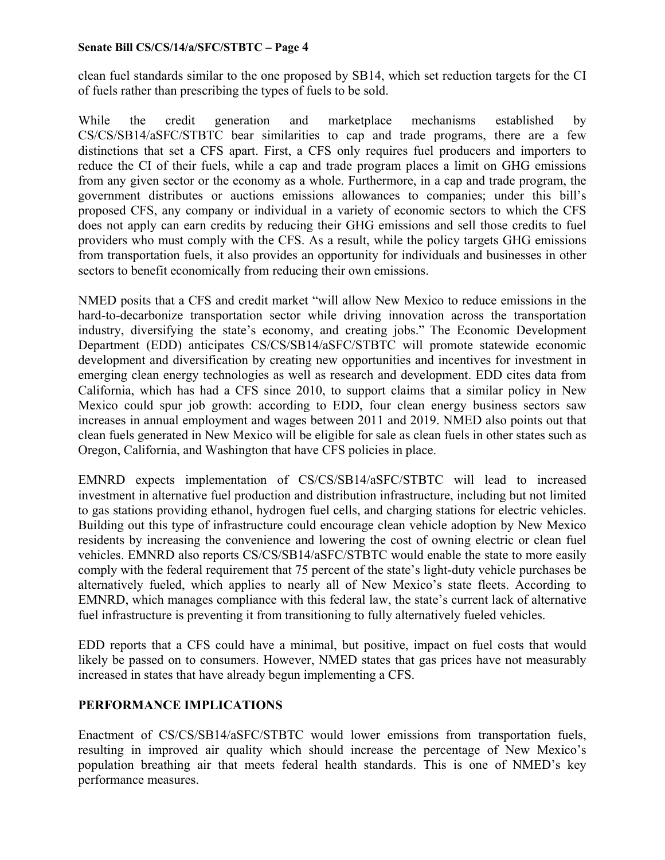clean fuel standards similar to the one proposed by SB14, which set reduction targets for the CI of fuels rather than prescribing the types of fuels to be sold.

While the credit generation and marketplace mechanisms established by CS/CS/SB14/aSFC/STBTC bear similarities to cap and trade programs, there are a few distinctions that set a CFS apart. First, a CFS only requires fuel producers and importers to reduce the CI of their fuels, while a cap and trade program places a limit on GHG emissions from any given sector or the economy as a whole. Furthermore, in a cap and trade program, the government distributes or auctions emissions allowances to companies; under this bill's proposed CFS, any company or individual in a variety of economic sectors to which the CFS does not apply can earn credits by reducing their GHG emissions and sell those credits to fuel providers who must comply with the CFS. As a result, while the policy targets GHG emissions from transportation fuels, it also provides an opportunity for individuals and businesses in other sectors to benefit economically from reducing their own emissions.

NMED posits that a CFS and credit market "will allow New Mexico to reduce emissions in the hard-to-decarbonize transportation sector while driving innovation across the transportation industry, diversifying the state's economy, and creating jobs." The Economic Development Department (EDD) anticipates CS/CS/SB14/aSFC/STBTC will promote statewide economic development and diversification by creating new opportunities and incentives for investment in emerging clean energy technologies as well as research and development. EDD cites data from California, which has had a CFS since 2010, to support claims that a similar policy in New Mexico could spur job growth: according to EDD, four clean energy business sectors saw increases in annual employment and wages between 2011 and 2019. NMED also points out that clean fuels generated in New Mexico will be eligible for sale as clean fuels in other states such as Oregon, California, and Washington that have CFS policies in place.

EMNRD expects implementation of CS/CS/SB14/aSFC/STBTC will lead to increased investment in alternative fuel production and distribution infrastructure, including but not limited to gas stations providing ethanol, hydrogen fuel cells, and charging stations for electric vehicles. Building out this type of infrastructure could encourage clean vehicle adoption by New Mexico residents by increasing the convenience and lowering the cost of owning electric or clean fuel vehicles. EMNRD also reports CS/CS/SB14/aSFC/STBTC would enable the state to more easily comply with the federal requirement that 75 percent of the state's light-duty vehicle purchases be alternatively fueled, which applies to nearly all of New Mexico's state fleets. According to EMNRD, which manages compliance with this federal law, the state's current lack of alternative fuel infrastructure is preventing it from transitioning to fully alternatively fueled vehicles.

EDD reports that a CFS could have a minimal, but positive, impact on fuel costs that would likely be passed on to consumers. However, NMED states that gas prices have not measurably increased in states that have already begun implementing a CFS.

# **PERFORMANCE IMPLICATIONS**

Enactment of CS/CS/SB14/aSFC/STBTC would lower emissions from transportation fuels, resulting in improved air quality which should increase the percentage of New Mexico's population breathing air that meets federal health standards. This is one of NMED's key performance measures.